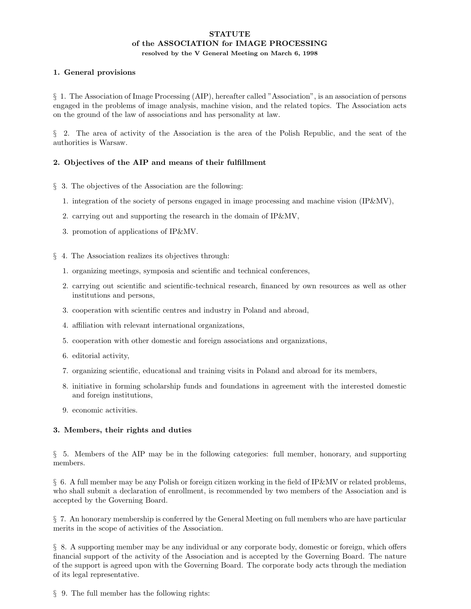### **STATUTE** of the ASSOCIATION for IMAGE PROCESSING resolved by the V General Meeting on March 6, 1998

## 1. General provisions

§ 1. The Association of Image Processing (AIP), hereafter called "Association", is an association of persons engaged in the problems of image analysis, machine vision, and the related topics. The Association acts on the ground of the law of associations and has personality at law.

§ 2. The area of activity of the Association is the area of the Polish Republic, and the seat of the authorities is Warsaw.

# 2. Objectives of the AIP and means of their fulfillment

- § 3. The objectives of the Association are the following:
	- 1. integration of the society of persons engaged in image processing and machine vision (IP&MV),
	- 2. carrying out and supporting the research in the domain of IP&MV,
	- 3. promotion of applications of IP&MV.
- § 4. The Association realizes its objectives through:
	- 1. organizing meetings, symposia and scientific and technical conferences,
	- 2. carrying out scientific and scientific-technical research, financed by own resources as well as other institutions and persons,
	- 3. cooperation with scientific centres and industry in Poland and abroad,
	- 4. affiliation with relevant international organizations,
	- 5. cooperation with other domestic and foreign associations and organizations,
	- 6. editorial activity,
	- 7. organizing scientific, educational and training visits in Poland and abroad for its members,
	- 8. initiative in forming scholarship funds and foundations in agreement with the interested domestic and foreign institutions,
	- 9. economic activities.

#### 3. Members, their rights and duties

§ 5. Members of the AIP may be in the following categories: full member, honorary, and supporting members.

§ 6. A full member may be any Polish or foreign citizen working in the field of IP&MV or related problems, who shall submit a declaration of enrollment, is recommended by two members of the Association and is accepted by the Governing Board.

§ 7. An honorary membership is conferred by the General Meeting on full members who are have particular merits in the scope of activities of the Association.

§ 8. A supporting member may be any individual or any corporate body, domestic or foreign, which offers financial support of the activity of the Association and is accepted by the Governing Board. The nature of the support is agreed upon with the Governing Board. The corporate body acts through the mediation of its legal representative.

§ 9. The full member has the following rights: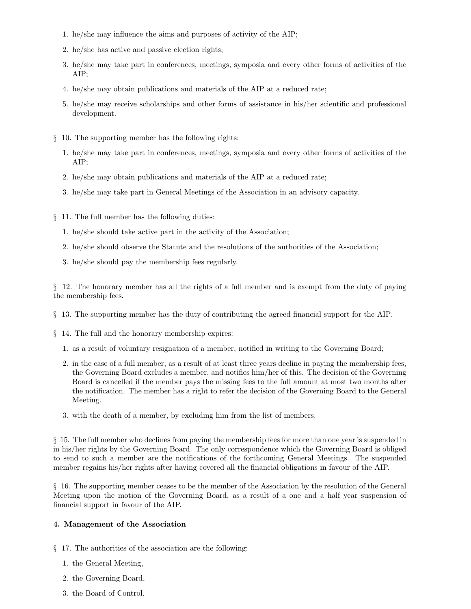- 1. he/she may influence the aims and purposes of activity of the AIP;
- 2. he/she has active and passive election rights;
- 3. he/she may take part in conferences, meetings, symposia and every other forms of activities of the AIP;
- 4. he/she may obtain publications and materials of the AIP at a reduced rate;
- 5. he/she may receive scholarships and other forms of assistance in his/her scientific and professional development.
- § 10. The supporting member has the following rights:
	- 1. he/she may take part in conferences, meetings, symposia and every other forms of activities of the AIP;
	- 2. he/she may obtain publications and materials of the AIP at a reduced rate;
	- 3. he/she may take part in General Meetings of the Association in an advisory capacity.
- § 11. The full member has the following duties:
	- 1. he/she should take active part in the activity of the Association;
	- 2. he/she should observe the Statute and the resolutions of the authorities of the Association;
	- 3. he/she should pay the membership fees regularly.

§ 12. The honorary member has all the rights of a full member and is exempt from the duty of paying the membership fees.

- § 13. The supporting member has the duty of contributing the agreed financial support for the AIP.
- § 14. The full and the honorary membership expires:
	- 1. as a result of voluntary resignation of a member, notified in writing to the Governing Board;
	- 2. in the case of a full member, as a result of at least three years decline in paying the membership fees, the Governing Board excludes a member, and notifies him/her of this. The decision of the Governing Board is cancelled if the member pays the missing fees to the full amount at most two months after the notification. The member has a right to refer the decision of the Governing Board to the General Meeting.
	- 3. with the death of a member, by excluding him from the list of members.

§ 15. The full member who declines from paying the membership fees for more than one year is suspended in in his/her rights by the Governing Board. The only correspondence which the Governing Board is obliged to send to such a member are the notifications of the forthcoming General Meetings. The suspended member regains his/her rights after having covered all the financial obligations in favour of the AIP.

§ 16. The supporting member ceases to be the member of the Association by the resolution of the General Meeting upon the motion of the Governing Board, as a result of a one and a half year suspension of financial support in favour of the AIP.

#### 4. Management of the Association

- § 17. The authorities of the association are the following:
	- 1. the General Meeting,
	- 2. the Governing Board,
	- 3. the Board of Control.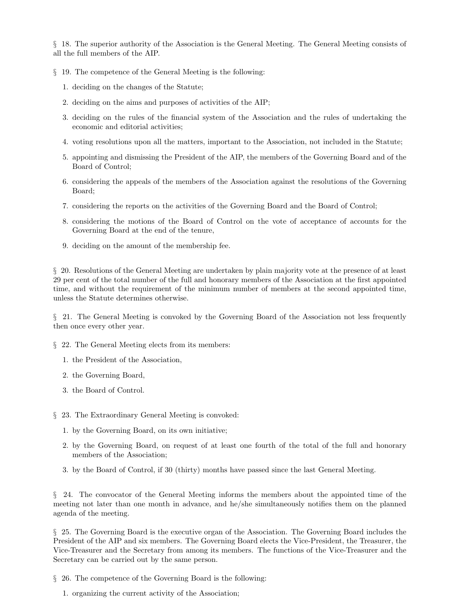§ 18. The superior authority of the Association is the General Meeting. The General Meeting consists of all the full members of the AIP.

§ 19. The competence of the General Meeting is the following:

- 1. deciding on the changes of the Statute;
- 2. deciding on the aims and purposes of activities of the AIP;
- 3. deciding on the rules of the financial system of the Association and the rules of undertaking the economic and editorial activities;
- 4. voting resolutions upon all the matters, important to the Association, not included in the Statute;
- 5. appointing and dismissing the President of the AIP, the members of the Governing Board and of the Board of Control;
- 6. considering the appeals of the members of the Association against the resolutions of the Governing Board;
- 7. considering the reports on the activities of the Governing Board and the Board of Control;
- 8. considering the motions of the Board of Control on the vote of acceptance of accounts for the Governing Board at the end of the tenure,
- 9. deciding on the amount of the membership fee.

§ 20. Resolutions of the General Meeting are undertaken by plain majority vote at the presence of at least 29 per cent of the total number of the full and honorary members of the Association at the first appointed time, and without the requirement of the minimum number of members at the second appointed time, unless the Statute determines otherwise.

§ 21. The General Meeting is convoked by the Governing Board of the Association not less frequently then once every other year.

§ 22. The General Meeting elects from its members:

- 1. the President of the Association,
- 2. the Governing Board,
- 3. the Board of Control.
- § 23. The Extraordinary General Meeting is convoked:
	- 1. by the Governing Board, on its own initiative;
	- 2. by the Governing Board, on request of at least one fourth of the total of the full and honorary members of the Association;
	- 3. by the Board of Control, if 30 (thirty) months have passed since the last General Meeting.

§ 24. The convocator of the General Meeting informs the members about the appointed time of the meeting not later than one month in advance, and he/she simultaneously notifies them on the planned agenda of the meeting.

§ 25. The Governing Board is the executive organ of the Association. The Governing Board includes the President of the AIP and six members. The Governing Board elects the Vice-President, the Treasurer, the Vice-Treasurer and the Secretary from among its members. The functions of the Vice-Treasurer and the Secretary can be carried out by the same person.

§ 26. The competence of the Governing Board is the following:

1. organizing the current activity of the Association;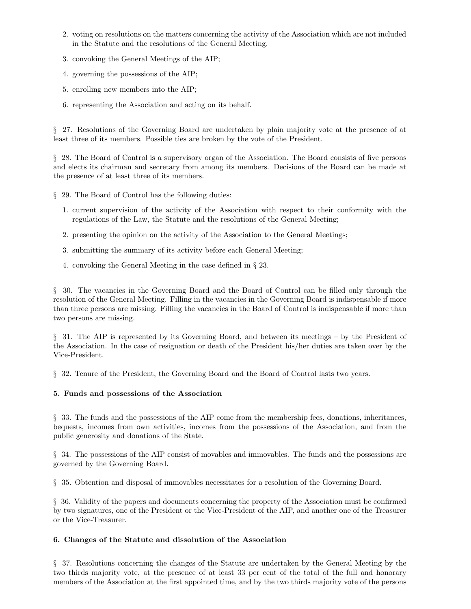- 2. voting on resolutions on the matters concerning the activity of the Association which are not included in the Statute and the resolutions of the General Meeting.
- 3. convoking the General Meetings of the AIP;
- 4. governing the possessions of the AIP;
- 5. enrolling new members into the AIP;
- 6. representing the Association and acting on its behalf.

§ 27. Resolutions of the Governing Board are undertaken by plain majority vote at the presence of at least three of its members. Possible ties are broken by the vote of the President.

§ 28. The Board of Control is a supervisory organ of the Association. The Board consists of five persons and elects its chairman and secretary from among its members. Decisions of the Board can be made at the presence of at least three of its members.

§ 29. The Board of Control has the following duties:

- 1. current supervision of the activity of the Association with respect to their conformity with the regulations of the Law, the Statute and the resolutions of the General Meeting;
- 2. presenting the opinion on the activity of the Association to the General Meetings;
- 3. submitting the summary of its activity before each General Meeting;
- 4. convoking the General Meeting in the case defined in § 23.

§ 30. The vacancies in the Governing Board and the Board of Control can be filled only through the resolution of the General Meeting. Filling in the vacancies in the Governing Board is indispensable if more than three persons are missing. Filling the vacancies in the Board of Control is indispensable if more than two persons are missing.

§ 31. The AIP is represented by its Governing Board, and between its meetings – by the President of the Association. In the case of resignation or death of the President his/her duties are taken over by the Vice-President.

§ 32. Tenure of the President, the Governing Board and the Board of Control lasts two years.

#### 5. Funds and possessions of the Association

§ 33. The funds and the possessions of the AIP come from the membership fees, donations, inheritances, bequests, incomes from own activities, incomes from the possessions of the Association, and from the public generosity and donations of the State.

§ 34. The possessions of the AIP consist of movables and immovables. The funds and the possessions are governed by the Governing Board.

§ 35. Obtention and disposal of immovables necessitates for a resolution of the Governing Board.

§ 36. Validity of the papers and documents concerning the property of the Association must be confirmed by two signatures, one of the President or the Vice-President of the AIP, and another one of the Treasurer or the Vice-Treasurer.

#### 6. Changes of the Statute and dissolution of the Association

§ 37. Resolutions concerning the changes of the Statute are undertaken by the General Meeting by the two thirds majority vote, at the presence of at least 33 per cent of the total of the full and honorary members of the Association at the first appointed time, and by the two thirds majority vote of the persons